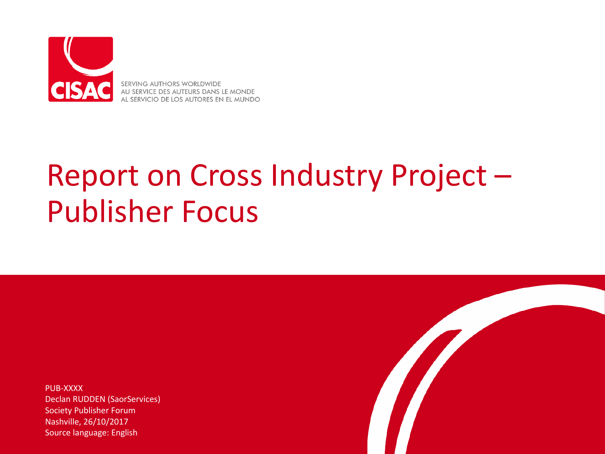

SERVING AUTHORS WORLDWIDE AU SERVICE DES AUTEURS DANS LE MONDE AL SERVICIO DE LOS AUTORES EN EL MUNDO

## Report on Cross Industry Project -**Publisher Focus**

PUB-XXXX Declan RUDDEN (SaorServices) Society Publisher Forum Nashville, 26/10/2017 Source language: English

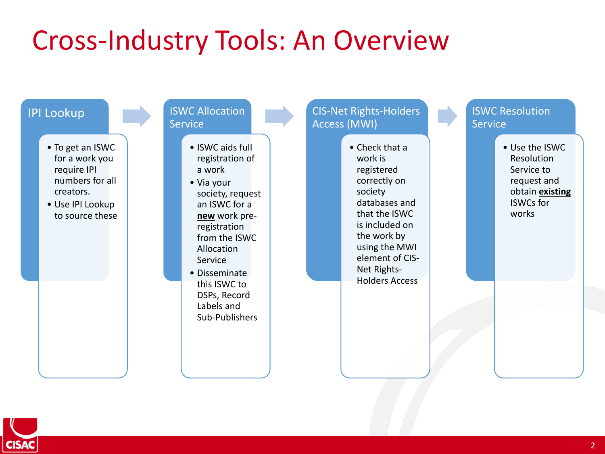## Cross-Industry Tools: An Overview



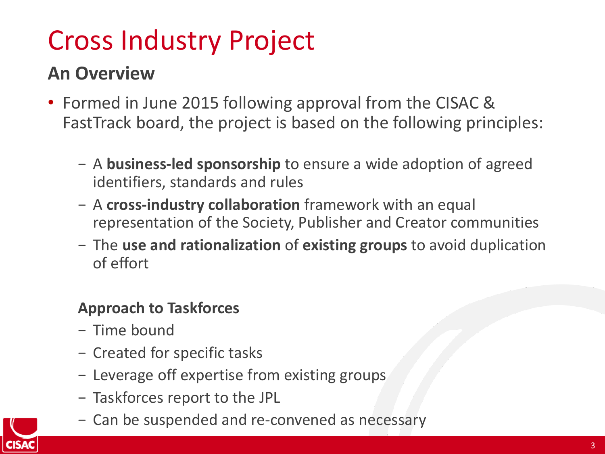## Cross Industry Project

#### **An Overview**

- Formed in June 2015 following approval from the CISAC & FastTrack board, the project is based on the following principles:
	- − A **business-led sponsorship** to ensure a wide adoption of agreed identifiers, standards and rules
	- − A **cross-industry collaboration** framework with an equal representation of the Society, Publisher and Creator communities
	- − The use and rationalization of existing groups to avoid duplication of effort

#### **Approach to Taskforces**

- − Time bound
- − Created for specific tasks
- − Leverage off expertise from existing groups
- − Taskforces report to the JPL
- − Can be suspended and re-convened as necessary

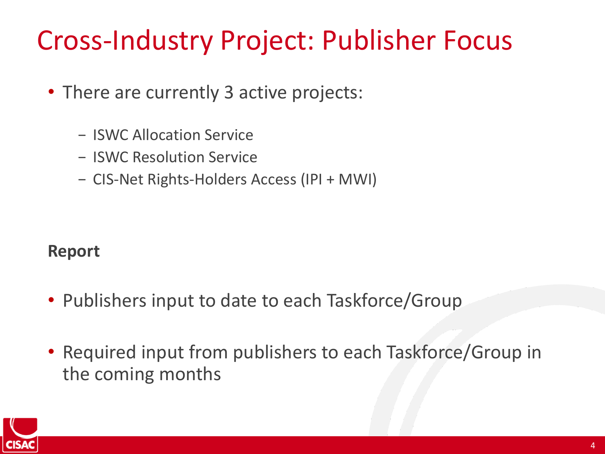## Cross-Industry Project: Publisher Focus

- There are currently 3 active projects:
	- − ISWC Allocation Service
	- − ISWC Resolution Service
	- − CIS-Net Rights-Holders Access (IPI + MWI)

#### **Report**

- Publishers input to date to each Taskforce/Group
- Required input from publishers to each Taskforce/Group in the coming months

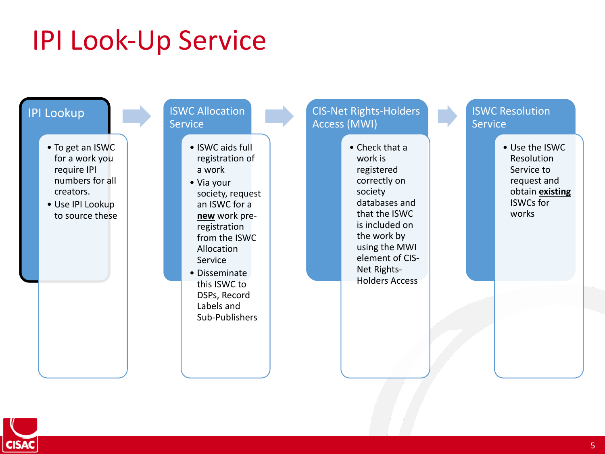## **IPI Look-Up Service**



#### **ISWC Allocation Service**

- ISWC aids full registration of a work
- Via your society, request an ISWC for a **new** work preregistration from the ISWC Allocation Service
- Disseminate this ISWC to DSPs, Record Labels and Sub-Publishers

#### CIS-Net Rights-Holders Access (MWI)

• Check that a work is registered correctly on society databases and that the ISWC is included on the work by using the MWI element of CIS-Net Rights-Holders Access

#### **ISWC Resolution Service**

• Use the ISWC Resolution Service to request and obtain **existing** ISWCs for works

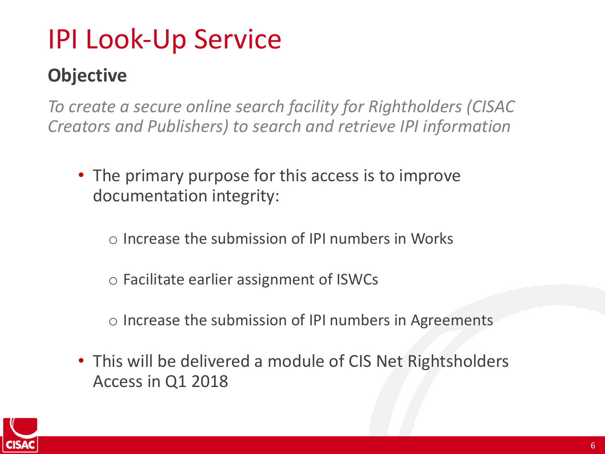## **IPI Look-Up Service**

### **Objective**

To create a secure online search facility for Rightholders (CISAC *Creators and Publishers) to search and retrieve IPI information*

- The primary purpose for this access is to improve documentation integrity:
	- $\circ$  Increase the submission of IPI numbers in Works
	- $\circ$  Facilitate earlier assignment of ISWCs
	- $\circ$  Increase the submission of IPI numbers in Agreements
- This will be delivered a module of CIS Net Rightsholders Access in Q1 2018

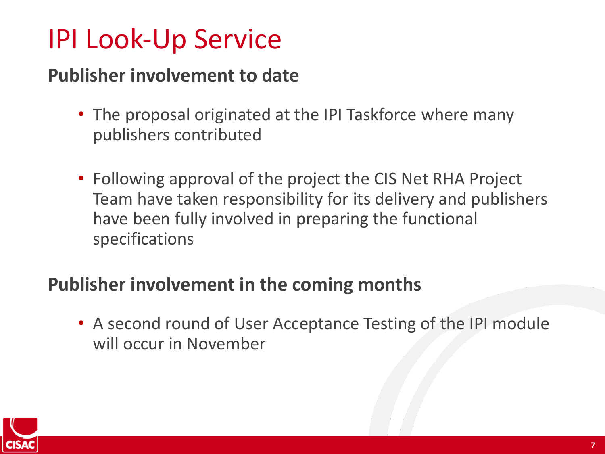## **IPI Look-Up Service**

#### **Publisher involvement to date**

- The proposal originated at the IPI Taskforce where many publishers contributed
- Following approval of the project the CIS Net RHA Project Team have taken responsibility for its delivery and publishers have been fully involved in preparing the functional specifications

#### **Publisher involvement in the coming months**

• A second round of User Acceptance Testing of the IPI module will occur in November

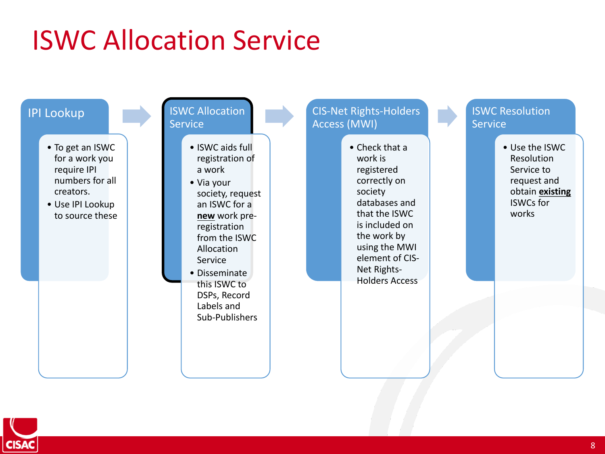## **ISWC Allocation Service**



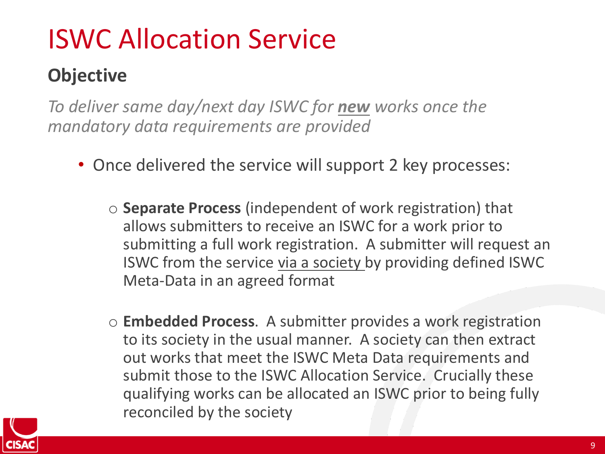## **ISWC Allocation Service**

### **Objective**

To deliver same day/next day ISWC for **new** works once the *mandatory data requirements are provided*

- Once delivered the service will support 2 key processes:
	- $\circ$  **Separate Process** (independent of work registration) that allows submitters to receive an ISWC for a work prior to submitting a full work registration. A submitter will request an ISWC from the service via a society by providing defined ISWC Meta-Data in an agreed format
	- o **Embedded Process**. A submitter provides a work registration to its society in the usual manner. A society can then extract out works that meet the ISWC Meta Data requirements and submit those to the ISWC Allocation Service. Crucially these qualifying works can be allocated an ISWC prior to being fully reconciled by the society

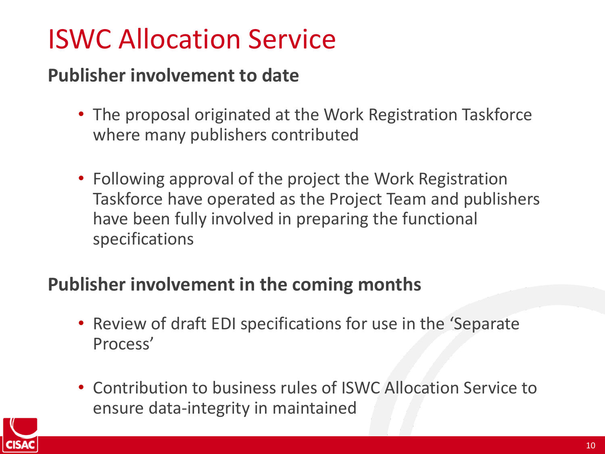## **ISWC Allocation Service**

#### **Publisher involvement to date**

- The proposal originated at the Work Registration Taskforce where many publishers contributed
- Following approval of the project the Work Registration Taskforce have operated as the Project Team and publishers have been fully involved in preparing the functional specifications

#### **Publisher involvement in the coming months**

- Review of draft EDI specifications for use in the 'Separate Process'
- Contribution to business rules of ISWC Allocation Service to ensure data-integrity in maintained

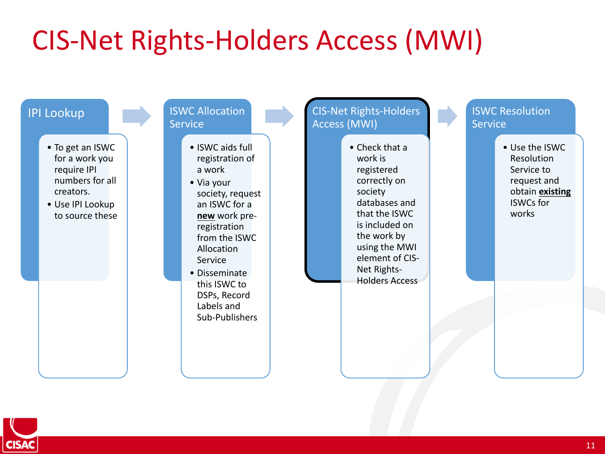

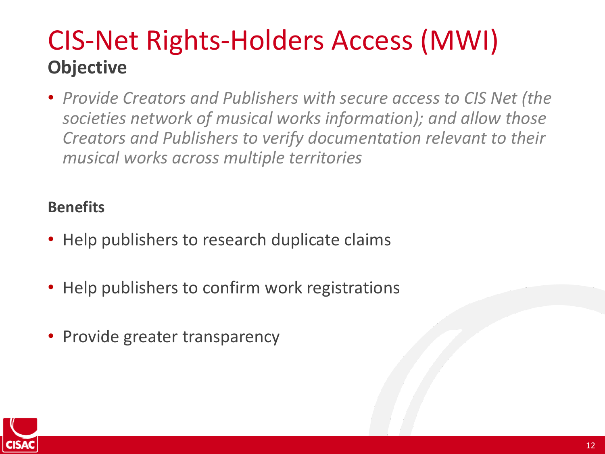## CIS-Net Rights-Holders Access (MWI) **Objective**

• *Provide Creators and Publishers with secure access to CIS Net (the* societies network of musical works information); and allow those **Creators and Publishers to verify documentation relevant to their** *musical works across multiple territories*

#### **Benefits**

- Help publishers to research duplicate claims
- Help publishers to confirm work registrations
- Provide greater transparency

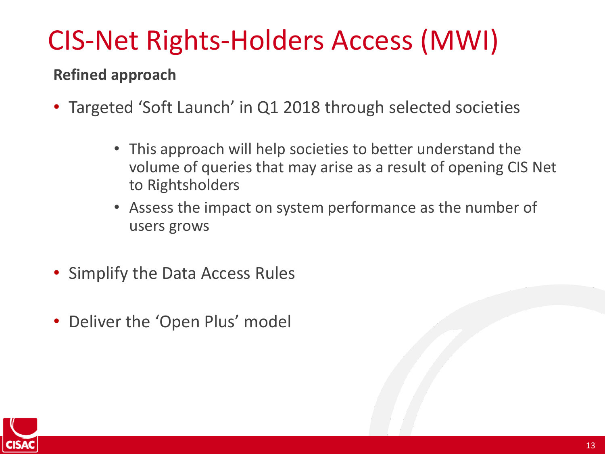#### **Refined approach**

- Targeted 'Soft Launch' in Q1 2018 through selected societies
	- This approach will help societies to better understand the volume of queries that may arise as a result of opening CIS Net to Rightsholders
	- Assess the impact on system performance as the number of users grows
- Simplify the Data Access Rules
- Deliver the 'Open Plus' model

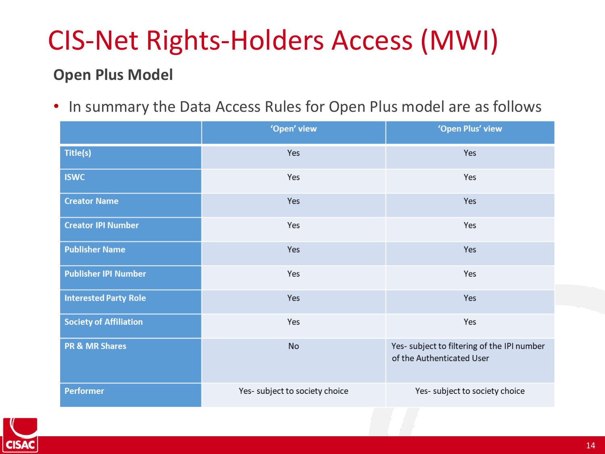#### **Open Plus Model**

• In summary the Data Access Rules for Open Plus model are as follows

|                               | 'Open' view                    | 'Open Plus' view                                                         |
|-------------------------------|--------------------------------|--------------------------------------------------------------------------|
| Title(s)                      | Yes                            | Yes                                                                      |
| <b>ISWC</b>                   | Yes                            | Yes                                                                      |
| <b>Creator Name</b>           | Yes                            | Yes                                                                      |
| <b>Creator IPI Number</b>     | Yes                            | Yes                                                                      |
| <b>Publisher Name</b>         | Yes                            | Yes                                                                      |
| <b>Publisher IPI Number</b>   | Yes                            | Yes                                                                      |
| <b>Interested Party Role</b>  | Yes                            | Yes                                                                      |
| <b>Society of Affiliation</b> | Yes                            | Yes                                                                      |
| <b>PR &amp; MR Shares</b>     | No                             | Yes- subject to filtering of the IPI number<br>of the Authenticated User |
| <b>Performer</b>              | Yes- subject to society choice | Yes- subject to society choice                                           |

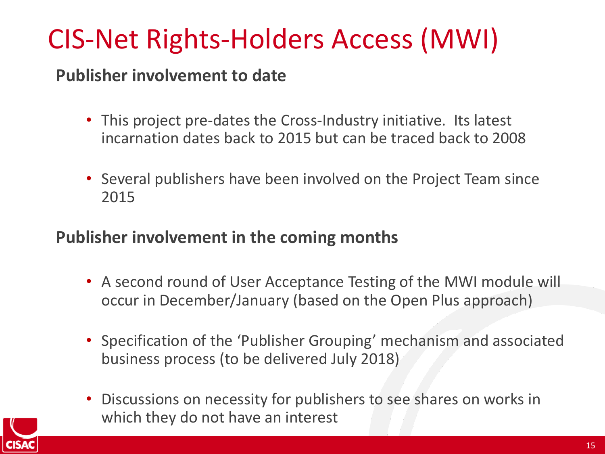#### **Publisher involvement to date**

- This project pre-dates the Cross-Industry initiative. Its latest incarnation dates back to 2015 but can be traced back to 2008
- Several publishers have been involved on the Project Team since 2015

#### **Publisher involvement in the coming months**

- A second round of User Acceptance Testing of the MWI module will occur in December/January (based on the Open Plus approach)
- Specification of the 'Publisher Grouping' mechanism and associated business process (to be delivered July 2018)
- Discussions on necessity for publishers to see shares on works in which they do not have an interest

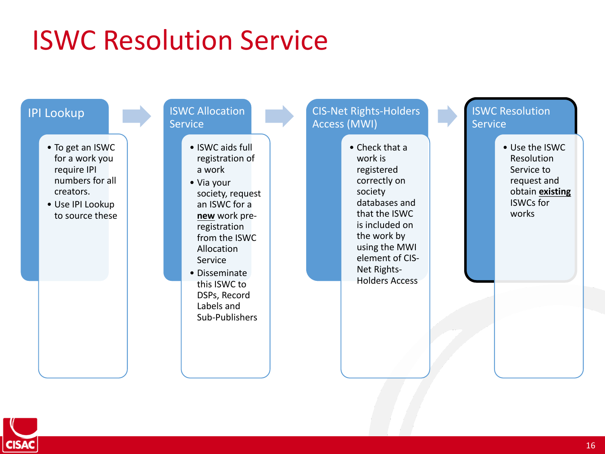

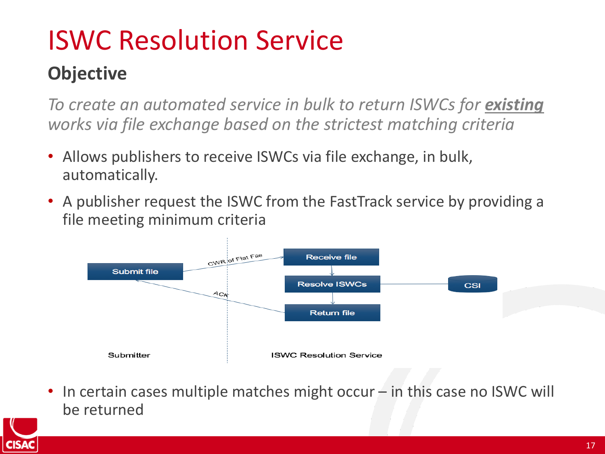### **Objective**

*To* create an automated service in bulk to return ISWCs for **existing** *works via file exchange based on the strictest matching criteria* 

- Allows publishers to receive ISWCs via file exchange, in bulk, automatically.
- A publisher request the ISWC from the FastTrack service by providing a file meeting minimum criteria



In certain cases multiple matches might occur  $-$  in this case no ISWC will be returned

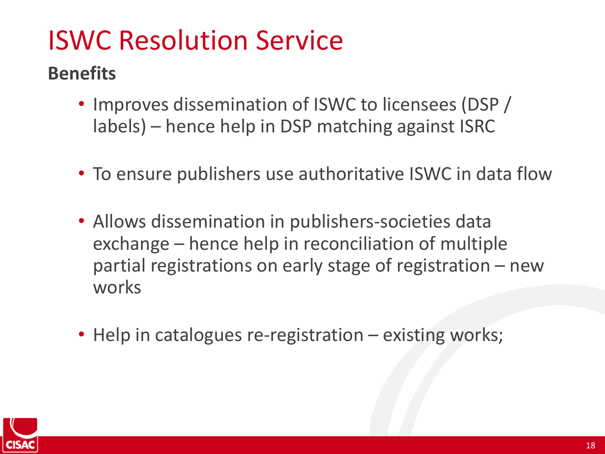#### **Benefits**

- Improves dissemination of ISWC to licensees (DSP) labels) – hence help in DSP matching against ISRC
- To ensure publishers use authoritative ISWC in data flow
- Allows dissemination in publishers-societies data exchange – hence help in reconciliation of multiple partial registrations on early stage of registration - new works
- Help in catalogues re-registration  $-$  existing works;

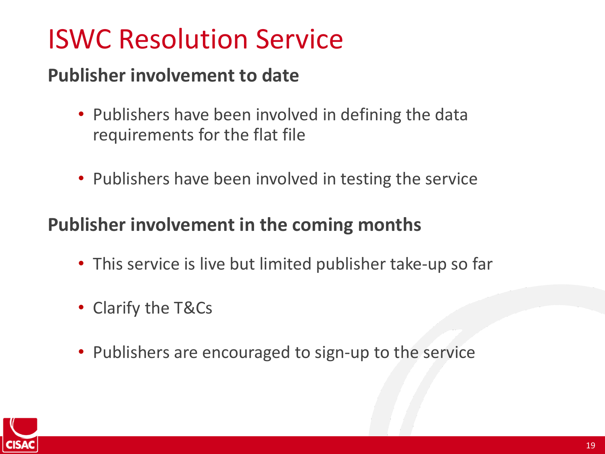#### **Publisher involvement to date**

- Publishers have been involved in defining the data requirements for the flat file
- Publishers have been involved in testing the service

#### **Publisher involvement in the coming months**

- This service is live but limited publisher take-up so far
- Clarify the T&Cs
- Publishers are encouraged to sign-up to the service

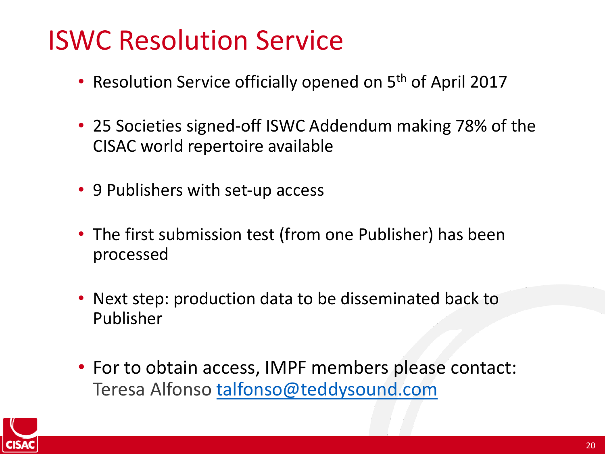- Resolution Service officially opened on 5<sup>th</sup> of April 2017
- 25 Societies signed-off ISWC Addendum making 78% of the CISAC world repertoire available
- 9 Publishers with set-up access
- The first submission test (from one Publisher) has been processed
- Next step: production data to be disseminated back to Publisher
- For to obtain access, IMPF members please contact: Teresa Alfonso talfonso@teddysound.com

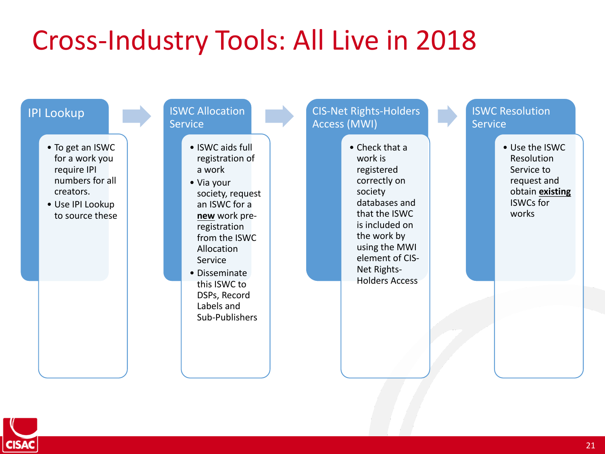## Cross-Industry Tools: All Live in 2018